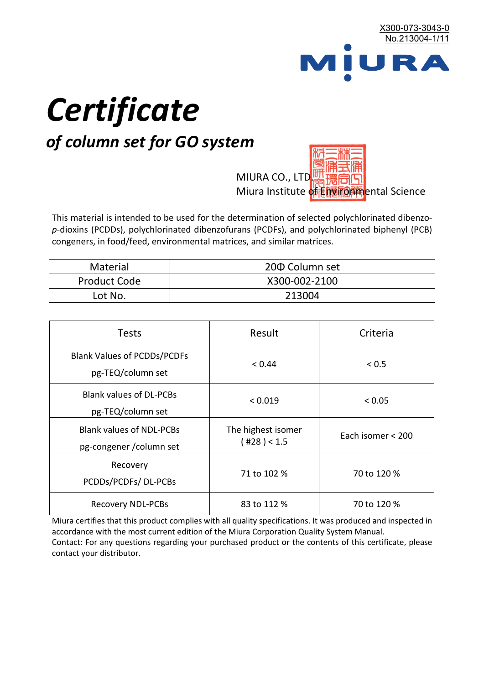

# *Certificate*

## *of column set for GO system*

MIURA CO., LTD. Miura Institute of 正版而解ental Science

This material is intended to be used for the determination of selected polychlorinated dibenzo*p*-dioxins (PCDDs), polychlorinated dibenzofurans (PCDFs), and polychlorinated biphenyl (PCB) congeners, in food/feed, environmental matrices, and similar matrices.

| <b>Material</b>     | 200 Column set |  |
|---------------------|----------------|--|
| <b>Product Code</b> | X300-002-2100  |  |
| Lot No.             | 213004         |  |

| <b>Tests</b>                                                | Result                            | Criteria          |  |
|-------------------------------------------------------------|-----------------------------------|-------------------|--|
| <b>Blank Values of PCDDs/PCDFs</b><br>pg-TEQ/column set     | < 0.44                            | ${}_{0.5}$        |  |
| <b>Blank values of DL-PCBs</b><br>pg-TEQ/column set         | < 0.019                           | < 0.05            |  |
| <b>Blank values of NDL-PCBs</b><br>pg-congener / column set | The highest isomer<br>(428) < 1.5 | Each isomer < 200 |  |
| Recovery<br>PCDDs/PCDFs/DL-PCBs                             | 71 to 102 %                       | 70 to 120 %       |  |
| <b>Recovery NDL-PCBs</b>                                    | 83 to 112 %                       | 70 to 120 %       |  |

Miura certifies that this product complies with all quality specifications. It was produced and inspected in accordance with the most current edition of the Miura Corporation Quality System Manual. Contact: For any questions regarding your purchased product or the contents of this certificate, please contact your distributor.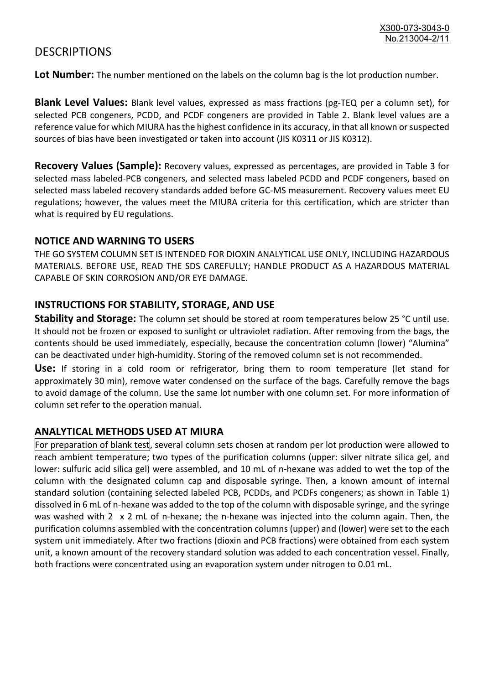### **DESCRIPTIONS**

**Lot Number:** The number mentioned on the labels on the column bag is the lot production number.

**Blank Level Values:** Blank level values, expressed as mass fractions (pg-TEQ per a column set), for selected PCB congeners, PCDD, and PCDF congeners are provided in Table 2. Blank level values are a reference value for which MIURA has the highest confidence in its accuracy, in that all known or suspected sources of bias have been investigated or taken into account (JIS K0311 or JIS K0312).

**Recovery Values (Sample):** Recovery values, expressed as percentages, are provided in Table 3 for selected mass labeled-PCB congeners, and selected mass labeled PCDD and PCDF congeners, based on selected mass labeled recovery standards added before GC-MS measurement. Recovery values meet EU regulations; however, the values meet the MIURA criteria for this certification, which are stricter than what is required by EU regulations.

#### **NOTICE AND WARNING TO USERS**

THE GO SYSTEM COLUMN SET IS INTENDED FOR DIOXIN ANALYTICAL USE ONLY, INCLUDING HAZARDOUS MATERIALS. BEFORE USE, READ THE SDS CAREFULLY; HANDLE PRODUCT AS A HAZARDOUS MATERIAL CAPABLE OF SKIN CORROSION AND/OR EYE DAMAGE.

#### **INSTRUCTIONS FOR STABILITY, STORAGE, AND USE**

**Stability and Storage:** The column set should be stored at room temperatures below 25 °C until use. It should not be frozen or exposed to sunlight or ultraviolet radiation. After removing from the bags, the contents should be used immediately, especially, because the concentration column (lower) "Alumina" can be deactivated under high-humidity. Storing of the removed column set is not recommended.

**Use:** If storing in a cold room or refrigerator, bring them to room temperature (let stand for approximately 30 min), remove water condensed on the surface of the bags. Carefully remove the bags to avoid damage of the column. Use the same lot number with one column set. For more information of column set refer to the operation manual.

#### **ANALYTICAL METHODS USED AT MIURA**

For preparation of blank test, several column sets chosen at random per lot production were allowed to reach ambient temperature; two types of the purification columns (upper: silver nitrate silica gel, and lower: sulfuric acid silica gel) were assembled, and 10 mL of n-hexane was added to wet the top of the column with the designated column cap and disposable syringe. Then, a known amount of internal standard solution (containing selected labeled PCB, PCDDs, and PCDFs congeners; as shown in Table 1) dissolved in 6 mL of n-hexane was added to the top of the column with disposable syringe, and the syringe was washed with 2 x 2 mL of n-hexane; the n-hexane was injected into the column again. Then, the purification columns assembled with the concentration columns (upper) and (lower) were set to the each system unit immediately. After two fractions (dioxin and PCB fractions) were obtained from each system unit, a known amount of the recovery standard solution was added to each concentration vessel. Finally, both fractions were concentrated using an evaporation system under nitrogen to 0.01 mL.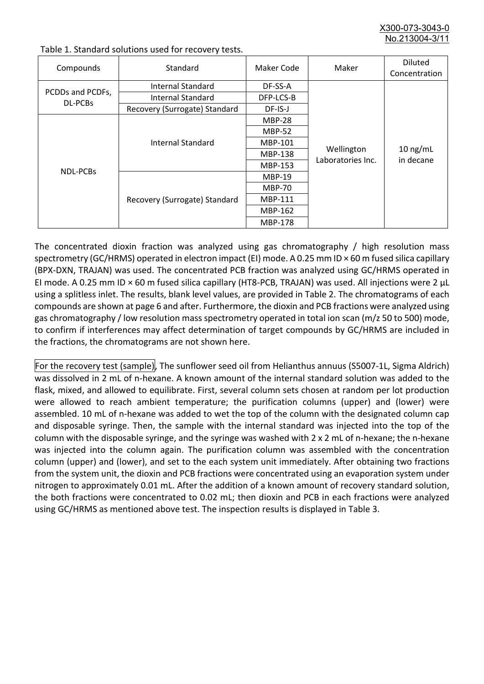X300-073-3043-0 No.213004-3/

| Compounds                   | Standard                      | Maker Code     | Maker                           | <b>Diluted</b><br>Concentration |
|-----------------------------|-------------------------------|----------------|---------------------------------|---------------------------------|
| PCDDs and PCDFs,<br>DL-PCBs | Internal Standard             | DF-SS-A        |                                 | $10$ ng/mL<br>in decane         |
|                             | <b>Internal Standard</b>      | DFP-LCS-B      |                                 |                                 |
|                             | Recovery (Surrogate) Standard | DF-IS-J        |                                 |                                 |
| NDL-PCBs                    | Internal Standard             | <b>MBP-28</b>  | Wellington<br>Laboratories Inc. |                                 |
|                             |                               | <b>MBP-52</b>  |                                 |                                 |
|                             |                               | MBP-101        |                                 |                                 |
|                             |                               | <b>MBP-138</b> |                                 |                                 |
|                             |                               | MBP-153        |                                 |                                 |
|                             | Recovery (Surrogate) Standard | <b>MBP-19</b>  |                                 |                                 |
|                             |                               | <b>MBP-70</b>  |                                 |                                 |
|                             |                               | <b>MBP-111</b> |                                 |                                 |
|                             |                               | MBP-162        |                                 |                                 |
|                             |                               | <b>MBP-178</b> |                                 |                                 |

Table 1. Standard solutions used for recovery tests.

The concentrated dioxin fraction was analyzed using gas chromatography / high resolution mass spectrometry (GC/HRMS) operated in electron impact (EI) mode. A 0.25 mm ID × 60 m fused silica capillary (BPX-DXN, TRAJAN) was used. The concentrated PCB fraction was analyzed using GC/HRMS operated in EI mode. A 0.25 mm ID × 60 m fused silica capillary (HT8-PCB, TRAJAN) was used. All injections were 2 μL using a splitless inlet. The results, blank level values, are provided in Table 2. The chromatograms of each compounds are shown at page 6 and after. Furthermore, the dioxin and PCB fractions were analyzed using gas chromatography / low resolution mass spectrometry operated in total ion scan (m/z 50 to 500) mode, to confirm if interferences may affect determination of target compounds by GC/HRMS are included in the fractions, the chromatograms are not shown here.

For the recovery test (sample), The sunflower seed oil from Helianthus annuus (S5007-1L, Sigma Aldrich) was dissolved in 2 mL of n-hexane. A known amount of the internal standard solution was added to the flask, mixed, and allowed to equilibrate. First, several column sets chosen at random per lot production were allowed to reach ambient temperature; the purification columns (upper) and (lower) were assembled. 10 mL of n-hexane was added to wet the top of the column with the designated column cap and disposable syringe. Then, the sample with the internal standard was injected into the top of the column with the disposable syringe, and the syringe was washed with 2 x 2 mL of n-hexane; the n-hexane was injected into the column again. The purification column was assembled with the concentration column (upper) and (lower), and set to the each system unit immediately. After obtaining two fractions from the system unit, the dioxin and PCB fractions were concentrated using an evaporation system under nitrogen to approximately 0.01 mL. After the addition of a known amount of recovery standard solution, the both fractions were concentrated to 0.02 mL; then dioxin and PCB in each fractions were analyzed using GC/HRMS as mentioned above test. The inspection results is displayed in Table 3.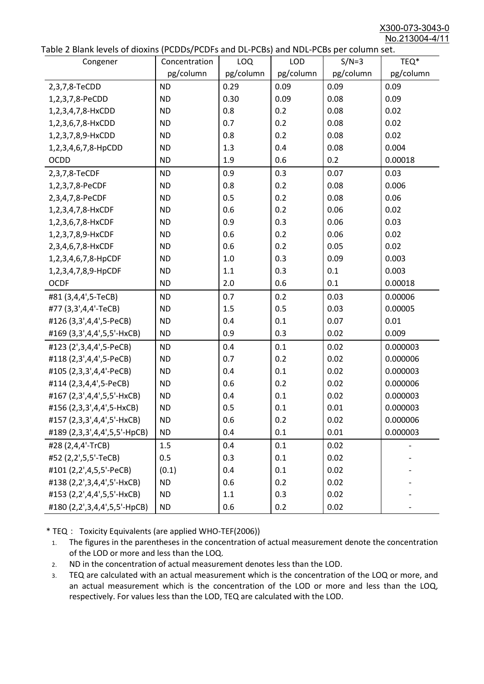X300-073-3043-0 No.213004-4/11

|  |  | Table 2 Blank levels of dioxins (PCDDs/PCDFs and DL-PCBs) and NDL-PCBs per column set. |
|--|--|----------------------------------------------------------------------------------------|
|--|--|----------------------------------------------------------------------------------------|

| able 2 Diarik levels of dioxins (FCDD3/FCDF3 and DL-FCD3) and NDL-FCD3 per column set.<br>Congener | Concentration | LOQ       | <b>LOD</b> | $S/N=3$   | TEQ*      |
|----------------------------------------------------------------------------------------------------|---------------|-----------|------------|-----------|-----------|
|                                                                                                    | pg/column     | pg/column | pg/column  | pg/column | pg/column |
| 2,3,7,8-TeCDD                                                                                      | <b>ND</b>     | 0.29      | 0.09       | 0.09      | 0.09      |
| 1,2,3,7,8-PeCDD                                                                                    | <b>ND</b>     | 0.30      | 0.09       | 0.08      | 0.09      |
| 1,2,3,4,7,8-HxCDD                                                                                  | <b>ND</b>     | 0.8       | 0.2        | 0.08      | 0.02      |
| 1,2,3,6,7,8-HxCDD                                                                                  | <b>ND</b>     | 0.7       | 0.2        | 0.08      | 0.02      |
| 1,2,3,7,8,9-HxCDD                                                                                  | <b>ND</b>     | 0.8       | 0.2        | 0.08      | 0.02      |
| 1,2,3,4,6,7,8-HpCDD                                                                                | <b>ND</b>     | 1.3       | 0.4        | 0.08      | 0.004     |
| <b>OCDD</b>                                                                                        | <b>ND</b>     | 1.9       | 0.6        | 0.2       | 0.00018   |
| 2,3,7,8-TeCDF                                                                                      | <b>ND</b>     | 0.9       | 0.3        | 0.07      | 0.03      |
| 1,2,3,7,8-PeCDF                                                                                    | <b>ND</b>     | 0.8       | 0.2        | 0.08      | 0.006     |
| 2,3,4,7,8-PeCDF                                                                                    | <b>ND</b>     | 0.5       | 0.2        | 0.08      | 0.06      |
| 1,2,3,4,7,8-HxCDF                                                                                  | <b>ND</b>     | 0.6       | 0.2        | 0.06      | 0.02      |
| 1,2,3,6,7,8-HxCDF                                                                                  | <b>ND</b>     | 0.9       | 0.3        | 0.06      | 0.03      |
| 1,2,3,7,8,9-HxCDF                                                                                  | <b>ND</b>     | 0.6       | 0.2        | 0.06      | 0.02      |
| 2,3,4,6,7,8-HxCDF                                                                                  | <b>ND</b>     | 0.6       | 0.2        | 0.05      | 0.02      |
| 1,2,3,4,6,7,8-HpCDF                                                                                | <b>ND</b>     | 1.0       | 0.3        | 0.09      | 0.003     |
| 1,2,3,4,7,8,9-HpCDF                                                                                | <b>ND</b>     | 1.1       | 0.3        | 0.1       | 0.003     |
| <b>OCDF</b>                                                                                        | <b>ND</b>     | 2.0       | 0.6        | 0.1       | 0.00018   |
| #81 (3,4,4',5-TeCB)                                                                                | <b>ND</b>     | 0.7       | 0.2        | 0.03      | 0.00006   |
| #77 (3,3',4,4'-TeCB)                                                                               | <b>ND</b>     | 1.5       | 0.5        | 0.03      | 0.00005   |
| #126 (3,3',4,4',5-PeCB)                                                                            | <b>ND</b>     | 0.4       | 0.1        | 0.07      | 0.01      |
| #169 (3,3',4,4',5,5'-HxCB)                                                                         | <b>ND</b>     | 0.9       | 0.3        | 0.02      | 0.009     |
| #123 (2',3,4,4',5-PeCB)                                                                            | <b>ND</b>     | 0.4       | 0.1        | 0.02      | 0.000003  |
| #118 (2,3',4,4',5-PeCB)                                                                            | <b>ND</b>     | 0.7       | 0.2        | 0.02      | 0.000006  |
| #105 (2,3,3',4,4'-PeCB)                                                                            | <b>ND</b>     | 0.4       | 0.1        | 0.02      | 0.000003  |
| #114 (2,3,4,4',5-PeCB)                                                                             | <b>ND</b>     | 0.6       | 0.2        | 0.02      | 0.000006  |
| #167 (2,3',4,4',5,5'-HxCB)                                                                         | <b>ND</b>     | 0.4       | 0.1        | 0.02      | 0.000003  |
| #156 (2,3,3',4,4',5-HxCB)                                                                          | <b>ND</b>     | 0.5       | 0.1        | 0.01      | 0.000003  |
| #157 (2,3,3',4,4',5'-HxCB)                                                                         | <b>ND</b>     | 0.6       | 0.2        | 0.02      | 0.000006  |
| #189 (2,3,3',4,4',5,5'-HpCB)                                                                       | <b>ND</b>     | 0.4       | 0.1        | 0.01      | 0.000003  |
| #28 (2,4,4'-TrCB)                                                                                  | 1.5           | 0.4       | 0.1        | 0.02      |           |
| #52 (2,2',5,5'-TeCB)                                                                               | 0.5           | 0.3       | 0.1        | 0.02      |           |
| #101 (2,2',4,5,5'-PeCB)                                                                            | (0.1)         | 0.4       | 0.1        | 0.02      |           |
| #138 (2,2',3,4,4',5'-HxCB)                                                                         | <b>ND</b>     | 0.6       | 0.2        | 0.02      |           |
| #153 (2,2',4,4',5,5'-HxCB)                                                                         | <b>ND</b>     | 1.1       | 0.3        | 0.02      |           |
| #180 (2,2',3,4,4',5,5'-HpCB)                                                                       | <b>ND</b>     | 0.6       | 0.2        | 0.02      |           |

\* TEQ: Toxicity Equivalents (are applied WHO-TEF(2006))

- 1. The figures in the parentheses in the concentration of actual measurement denote the concentration of the LOD or more and less than the LOQ.
- 2. ND in the concentration of actual measurement denotes less than the LOD.
- 3. TEQ are calculated with an actual measurement which is the concentration of the LOQ or more, and an actual measurement which is the concentration of the LOD or more and less than the LOQ, respectively. For values less than the LOD, TEQ are calculated with the LOD.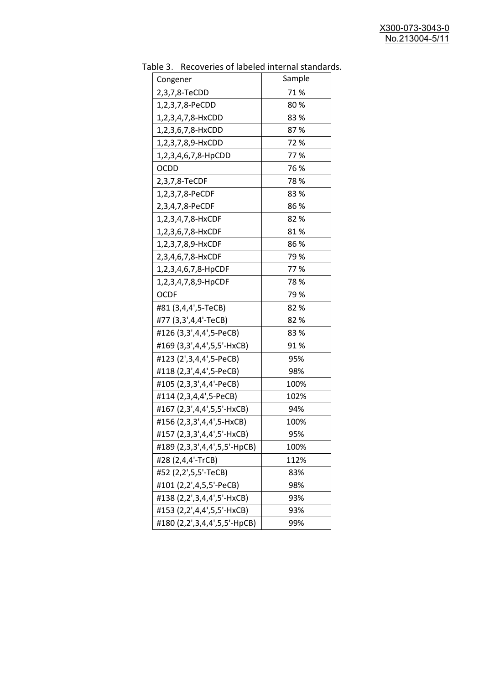| abic 5. $\sqrt{2}$ . Recoveries of labeled internal standard |        |
|--------------------------------------------------------------|--------|
| Congener                                                     | Sample |
| 2,3,7,8-TeCDD                                                | 71%    |
| 1,2,3,7,8-PeCDD                                              | 80%    |
| 1,2,3,4,7,8-HxCDD                                            | 83%    |
| 1,2,3,6,7,8-HxCDD                                            | 87%    |
| 1,2,3,7,8,9-HxCDD                                            | 72%    |
| 1,2,3,4,6,7,8-HpCDD                                          | 77%    |
| <b>OCDD</b>                                                  | 76 %   |
| 2,3,7,8-TeCDF                                                | 78%    |
| 1,2,3,7,8-PeCDF                                              | 83%    |
| 2,3,4,7,8-PeCDF                                              | 86%    |
| 1,2,3,4,7,8-HxCDF                                            | 82%    |
| 1,2,3,6,7,8-HxCDF                                            | 81%    |
| 1,2,3,7,8,9-HxCDF                                            | 86 %   |
| 2,3,4,6,7,8-HxCDF                                            | 79 %   |
| 1,2,3,4,6,7,8-HpCDF                                          | 77%    |
| 1,2,3,4,7,8,9-HpCDF                                          | 78%    |
| <b>OCDF</b>                                                  | 79%    |
| #81 (3,4,4',5-TeCB)                                          | 82%    |
| #77 (3,3',4,4'-TeCB)                                         | 82%    |
| #126 (3,3',4,4',5-PeCB)                                      | 83%    |
| #169 (3,3',4,4',5,5'-HxCB)                                   | 91%    |
| #123 (2',3,4,4',5-PeCB)                                      | 95%    |
| #118 (2,3',4,4',5-PeCB)                                      | 98%    |
| #105 (2,3,3',4,4'-PeCB)                                      | 100%   |
| #114 (2,3,4,4',5-PeCB)                                       | 102%   |
| #167 (2,3',4,4',5,5'-HxCB)                                   | 94%    |
| #156 (2,3,3',4,4',5-HxCB)                                    | 100%   |
| #157 (2,3,3',4,4',5'-HxCB)                                   | 95%    |
| #189 (2,3,3',4,4',5,5'-HpCB)                                 | 100%   |
| #28 (2,4,4'-TrCB)                                            | 112%   |
| #52 (2,2',5,5'-TeCB)                                         | 83%    |
| #101 (2,2',4,5,5'-PeCB)                                      | 98%    |
| #138 (2,2',3,4,4',5'-HxCB)                                   | 93%    |
| #153 (2,2',4,4',5,5'-HxCB)                                   | 93%    |
| #180 (2,2',3,4,4',5,5'-HpCB)                                 | 99%    |
|                                                              |        |

Table 3. Recoveries of labeled internal standards.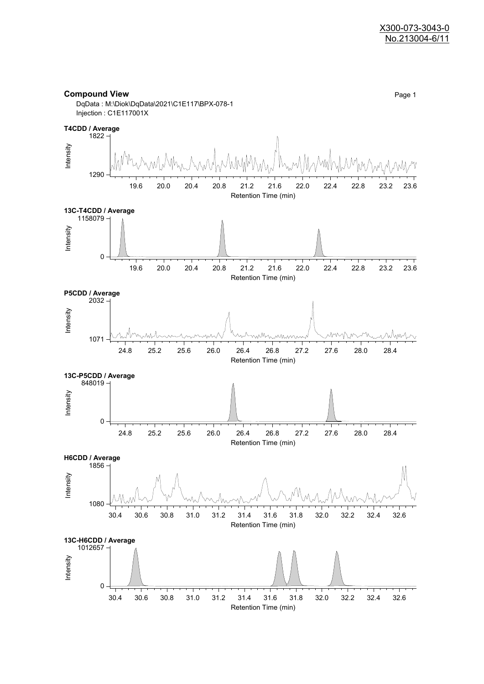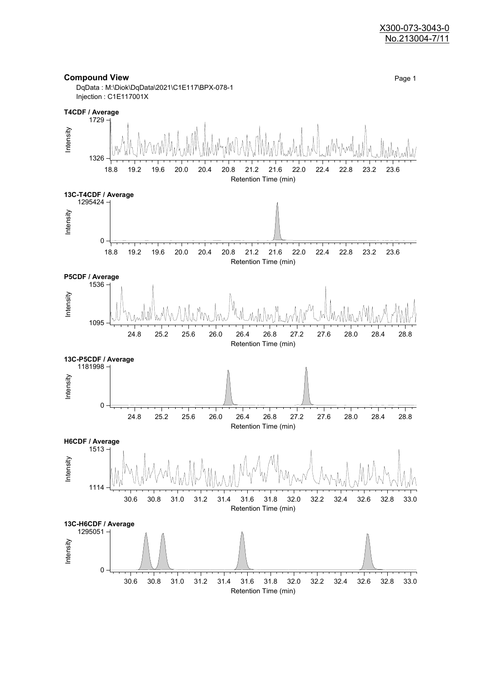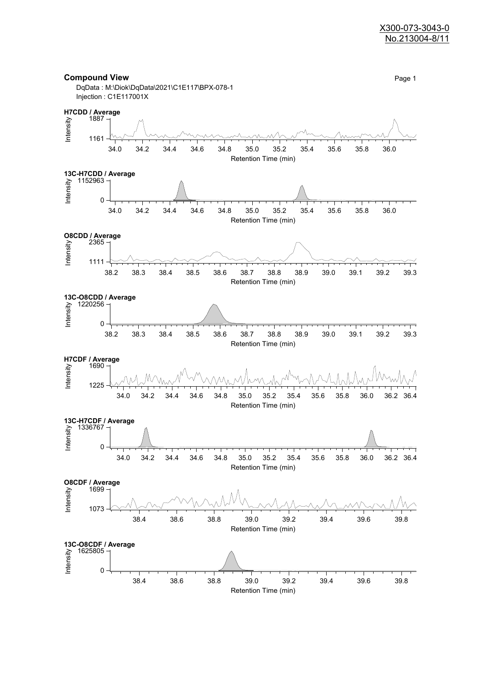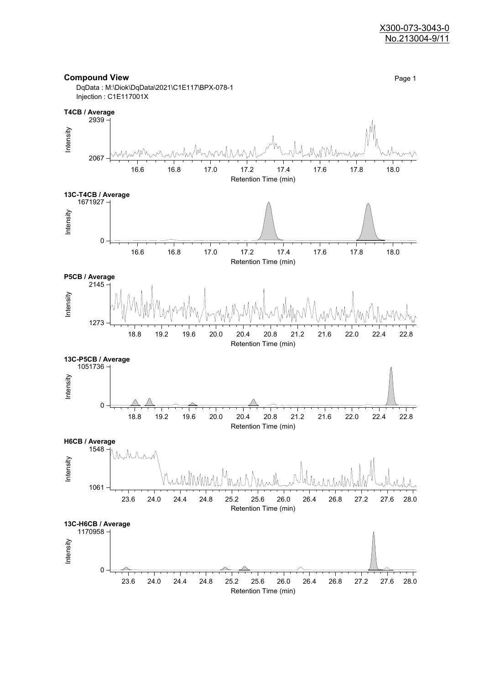

**Compound View** Page 1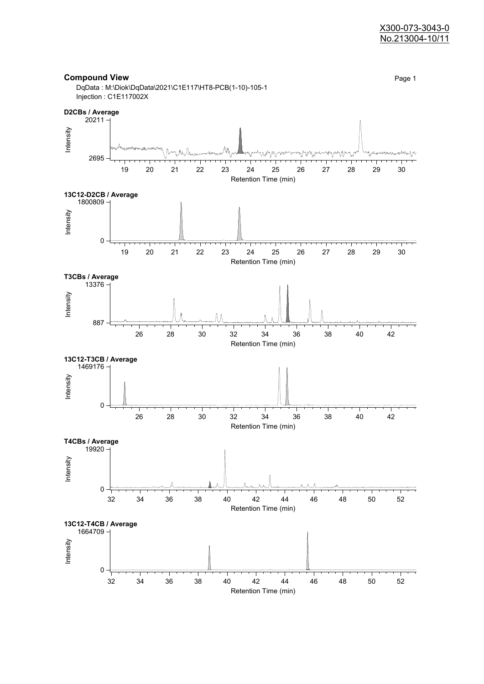